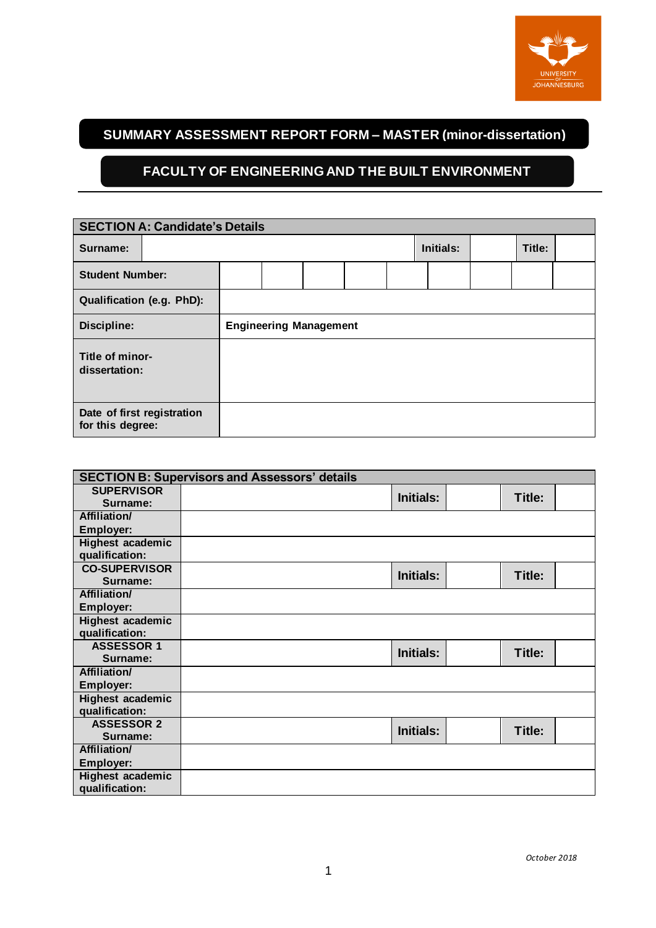

# **SUMMARY ASSESSMENT REPORT FORM – MASTER (minor-dissertation)**

#### **FACULTY OF ENGINEERING AND THE BUILT ENVIRONMENT**

| <b>SECTION A: Candidate's Details</b>          |  |                               |  |  |           |  |        |  |  |  |
|------------------------------------------------|--|-------------------------------|--|--|-----------|--|--------|--|--|--|
| Surname:                                       |  |                               |  |  | Initials: |  | Title: |  |  |  |
| <b>Student Number:</b>                         |  |                               |  |  |           |  |        |  |  |  |
| Qualification (e.g. PhD):                      |  |                               |  |  |           |  |        |  |  |  |
| Discipline:                                    |  | <b>Engineering Management</b> |  |  |           |  |        |  |  |  |
| Title of minor-<br>dissertation:               |  |                               |  |  |           |  |        |  |  |  |
| Date of first registration<br>for this degree: |  |                               |  |  |           |  |        |  |  |  |

|                      | <b>SECTION B: Supervisors and Assessors' details</b> |                  |        |  |
|----------------------|------------------------------------------------------|------------------|--------|--|
| <b>SUPERVISOR</b>    |                                                      | <b>Initials:</b> | Title: |  |
| Surname:             |                                                      |                  |        |  |
| <b>Affiliation/</b>  |                                                      |                  |        |  |
| Employer:            |                                                      |                  |        |  |
| Highest academic     |                                                      |                  |        |  |
| qualification:       |                                                      |                  |        |  |
| <b>CO-SUPERVISOR</b> |                                                      | <b>Initials:</b> | Title: |  |
| Surname:             |                                                      |                  |        |  |
| Affiliation/         |                                                      |                  |        |  |
| <b>Employer:</b>     |                                                      |                  |        |  |
| Highest academic     |                                                      |                  |        |  |
| qualification:       |                                                      |                  |        |  |
| <b>ASSESSOR 1</b>    |                                                      | <b>Initials:</b> | Title: |  |
| Surname:             |                                                      |                  |        |  |
| Affiliation/         |                                                      |                  |        |  |
| <b>Employer:</b>     |                                                      |                  |        |  |
| Highest academic     |                                                      |                  |        |  |
| qualification:       |                                                      |                  |        |  |
| <b>ASSESSOR 2</b>    |                                                      | <b>Initials:</b> | Title: |  |
| Surname:             |                                                      |                  |        |  |
| <b>Affiliation/</b>  |                                                      |                  |        |  |
| Employer:            |                                                      |                  |        |  |
| Highest academic     |                                                      |                  |        |  |
| qualification:       |                                                      |                  |        |  |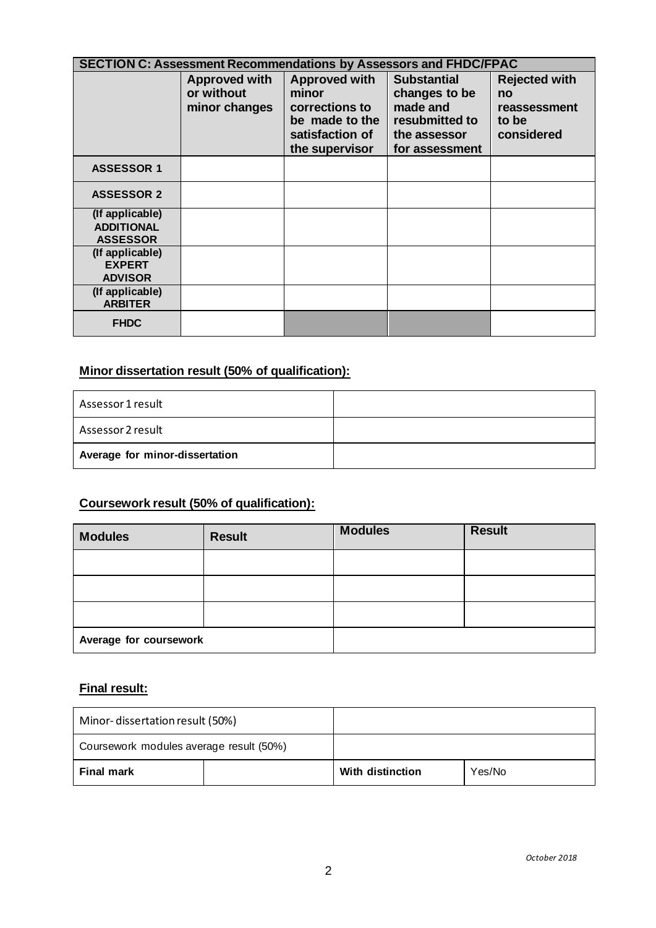|                                                         | <b>SECTION C: Assessment Recommendations by Assessors and FHDC/FPAC</b> |                                                                                                 |                                                                                                     |                                                                   |  |  |  |
|---------------------------------------------------------|-------------------------------------------------------------------------|-------------------------------------------------------------------------------------------------|-----------------------------------------------------------------------------------------------------|-------------------------------------------------------------------|--|--|--|
|                                                         | <b>Approved with</b><br>or without<br>minor changes                     | Approved with<br>minor<br>corrections to<br>be made to the<br>satisfaction of<br>the supervisor | <b>Substantial</b><br>changes to be<br>made and<br>resubmitted to<br>the assessor<br>for assessment | <b>Rejected with</b><br>no<br>reassessment<br>to be<br>considered |  |  |  |
| <b>ASSESSOR 1</b>                                       |                                                                         |                                                                                                 |                                                                                                     |                                                                   |  |  |  |
| <b>ASSESSOR 2</b>                                       |                                                                         |                                                                                                 |                                                                                                     |                                                                   |  |  |  |
| (If applicable)<br><b>ADDITIONAL</b><br><b>ASSESSOR</b> |                                                                         |                                                                                                 |                                                                                                     |                                                                   |  |  |  |
| (If applicable)<br><b>EXPERT</b><br><b>ADVISOR</b>      |                                                                         |                                                                                                 |                                                                                                     |                                                                   |  |  |  |
| (If applicable)<br><b>ARBITER</b>                       |                                                                         |                                                                                                 |                                                                                                     |                                                                   |  |  |  |
| <b>FHDC</b>                                             |                                                                         |                                                                                                 |                                                                                                     |                                                                   |  |  |  |

# **Minor dissertation result (50% of qualification):**

| Assessor 1 result              |  |
|--------------------------------|--|
| Assessor 2 result              |  |
| Average for minor-dissertation |  |

# **Coursework result (50% of qualification):**

| <b>Modules</b>         | <b>Result</b> | <b>Modules</b> | <b>Result</b> |
|------------------------|---------------|----------------|---------------|
|                        |               |                |               |
|                        |               |                |               |
|                        |               |                |               |
| Average for coursework |               |                |               |

#### **Final result:**

| Minor-dissertation result (50%)         |  |                  |        |
|-----------------------------------------|--|------------------|--------|
| Coursework modules average result (50%) |  |                  |        |
| Final mark                              |  | With distinction | Yes/No |